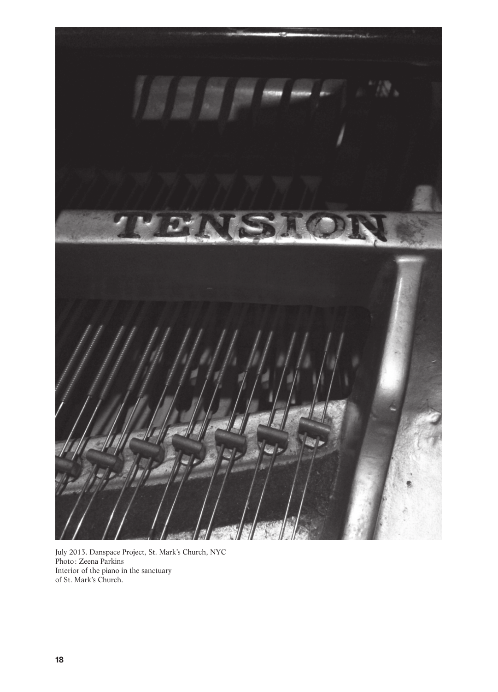

July 2013. Danspace Project, St. Mark's Church, NYC Photo: Zeena Parkins Interior of the piano in the sanctuary of St. Mark's Church.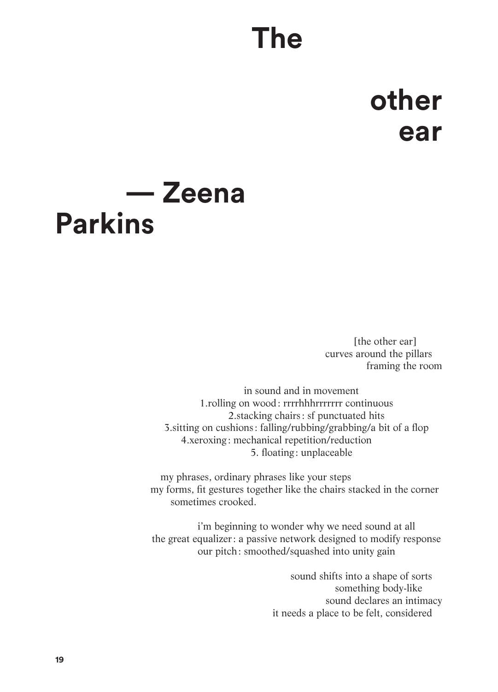## **The**

## **other ear**

## **— Zeena Parkins**

[the other ear] curves around the pillars framing the room

in sound and in movement 1.rolling on wood: rrrrhhhrrrrrrr continuous 2.stacking chairs: sf punctuated hits 3.sitting on cushions : falling/rubbing/grabbing/a bit of a flop 4.xeroxing: mechanical repetition/reduction———— —5. floating : unplaceable

—my phrases, ordinary phrases like your steps my forms, fit gestures together like the chairs stacked in the corner sometimes crooked.

i'm beginning to wonder why we need sound at all the great equalizer: a passive network designed to modify response our pitch: smoothed/squashed into unity gain

> sound shifts into a shape of sorts something body-like sound declares an intimacy it needs a place to be felt, considered—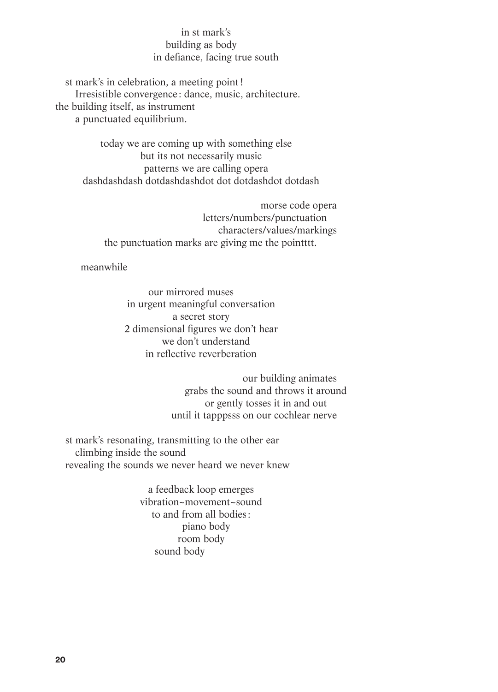## —in st mark's building as body in defiance, facing true south

st mark's in celebration, a meeting point! Irresistible convergence : dance, music, architecture. the building itself, as instrument a punctuated equilibrium.

> today we are coming up with something else but its not necessarily music —patterns we are calling opera dashdashdash dotdashdashdot dot dotdashdot dotdash

morse code opera letters/numbers/punctuation— characters/values/markings the punctuation marks are giving me the pointtt.

meanwhile

our mirrored muses— in urgent meaningful conversation a secret story 2 dimensional figures we don't hear we don't understand in reflective reverberation

> our building animates grabs the sound and throws it around or gently tosses it in and out— until it tapppsss on our cochlear nerve—

st mark's resonating, transmitting to the other ear climbing inside the sound revealing the sounds we never heard we never knew

> a feedback loop emerges vibration~movement~sound to and from all bodies : —piano body room body sound body